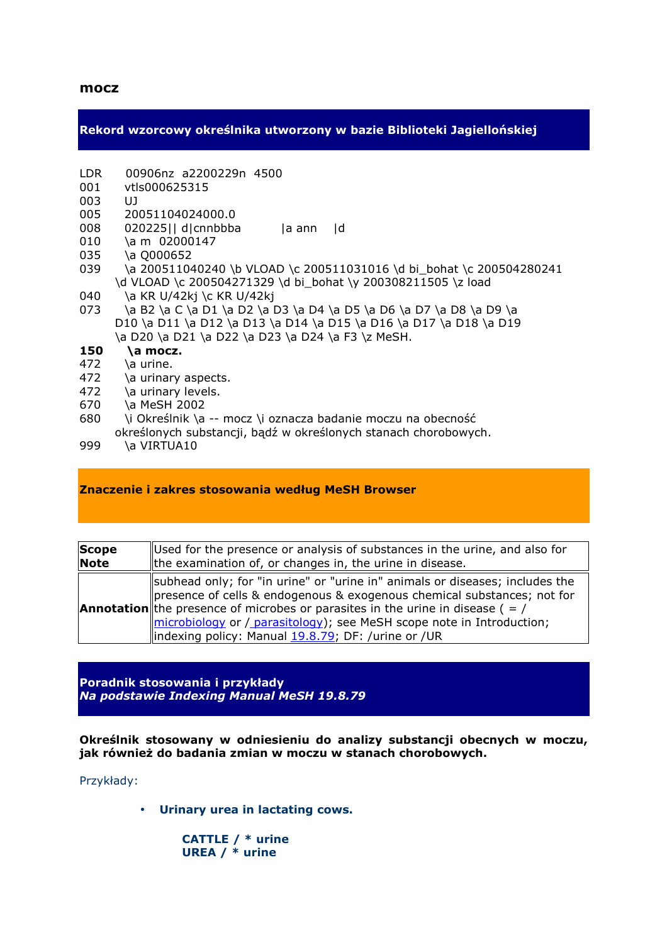**Rekord wzorcowy określnika utworzony w bazie Biblioteki Jagiellońskiej** 

- LDR 00906nz a2200229n 4500
- 001 vtls000625315
- 003 UJ
- 005 20051104024000.0
- 008 020225|| d|cnnbbba |a ann |d
- 010 \a m 02000147
- 035 \a Q000652
- 039 \a 200511040240 \b VLOAD \c 200511031016 \d bi\_bohat \c 200504280241 \d VLOAD \c 200504271329 \d bi bohat \y 200308211505 \z load
- 040 \a KR U/42kj \c KR U/42kj
- 073 \a B2 \a C \a D1 \a D2 \a D3 \a D4 \a D5 \a D6 \a D7 \a D8 \a D9 \a D10 \a D11 \a D12 \a D13 \a D14 \a D15 \a D16 \a D17 \a D18 \a D19 \a D20 \a D21 \a D22 \a D23 \a D24 \a F3 \z MeSH.
- **150 \a mocz.**
- $472$  \a urine.
- 472  $\a$  urinary aspects.
- 472 \a urinary levels.
- 670 \a MeSH 2002
- 680 \i Określnik \a -- mocz \i oznacza badanie moczu na obecność
- określonych substancji, bądź w określonych stanach chorobowych.
- 999 \a VIRTUA10

## **Znaczenie i zakres stosowania według MeSH Browser**

| Scope       | Used for the presence or analysis of substances in the urine, and also for                                                                                                                                                                                                                                                                                                         |
|-------------|------------------------------------------------------------------------------------------------------------------------------------------------------------------------------------------------------------------------------------------------------------------------------------------------------------------------------------------------------------------------------------|
| <b>Note</b> | Ithe examination of, or changes in, the urine in disease.                                                                                                                                                                                                                                                                                                                          |
|             | subhead only; for "in urine" or "urine in" animals or diseases; includes the<br>presence of cells & endogenous & exogenous chemical substances; not for<br><b>Annotation</b> the presence of microbes or parasites in the urine in disease ( $=$ /<br>microbiology or / parasitology); see MeSH scope note in Introduction;<br>lindexing policy: Manual 19.8.79; DF: /urine or /UR |

**Poradnik stosowania i przykłady**  *Na podstawie Indexing Manual MeSH 19.8.79*

**Określnik stosowany w odniesieniu do analizy substancji obecnych w moczu,**  jak również do badania zmian w moczu w stanach chorobowych.

Przykłady:

• **Urinary urea in lactating cows.** 

 **CATTLE / \* urine UREA / \* urine**